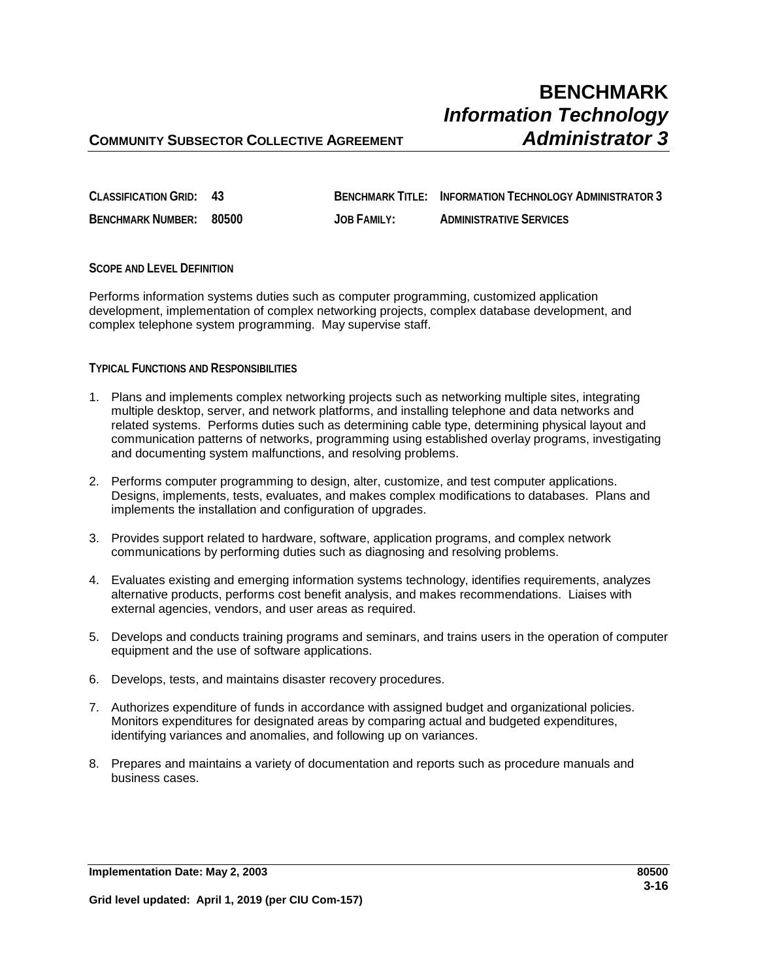| CLASSIFICATION GRID: 43 |                    | <b>BENCHMARK TITLE: INFORMATION TECHNOLOGY ADMINISTRATOR 3</b> |
|-------------------------|--------------------|----------------------------------------------------------------|
| BENCHMARK NUMBER: 80500 | <b>JOB FAMILY:</b> | <b>ADMINISTRATIVE SERVICES</b>                                 |

### **SCOPE AND LEVEL DEFINITION**

Performs information systems duties such as computer programming, customized application development, implementation of complex networking projects, complex database development, and complex telephone system programming. May supervise staff.

### **TYPICAL FUNCTIONS AND RESPONSIBILITIES**

- 1. Plans and implements complex networking projects such as networking multiple sites, integrating multiple desktop, server, and network platforms, and installing telephone and data networks and related systems. Performs duties such as determining cable type, determining physical layout and communication patterns of networks, programming using established overlay programs, investigating and documenting system malfunctions, and resolving problems.
- 2. Performs computer programming to design, alter, customize, and test computer applications. Designs, implements, tests, evaluates, and makes complex modifications to databases. Plans and implements the installation and configuration of upgrades.
- 3. Provides support related to hardware, software, application programs, and complex network communications by performing duties such as diagnosing and resolving problems.
- 4. Evaluates existing and emerging information systems technology, identifies requirements, analyzes alternative products, performs cost benefit analysis, and makes recommendations. Liaises with external agencies, vendors, and user areas as required.
- 5. Develops and conducts training programs and seminars, and trains users in the operation of computer equipment and the use of software applications.
- 6. Develops, tests, and maintains disaster recovery procedures.
- 7. Authorizes expenditure of funds in accordance with assigned budget and organizational policies. Monitors expenditures for designated areas by comparing actual and budgeted expenditures, identifying variances and anomalies, and following up on variances.
- 8. Prepares and maintains a variety of documentation and reports such as procedure manuals and business cases.